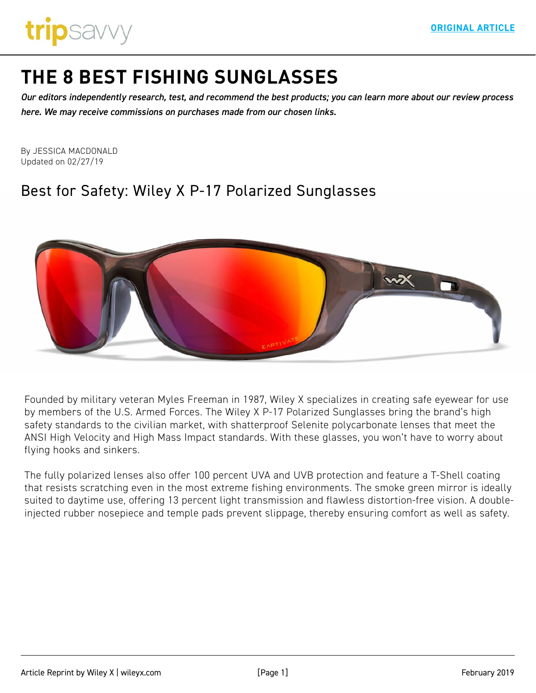

# **[THE 8 BEST FISHING SUNGLASSES](https://www.tripsavvy.com/best-fishing-sunglasses-4171315)**

*Our editors independently research, test, and recommend the best products; you can learn more about our review process here. We may receive commissions on purchases made from our chosen links.*

By JESSICA MACDONALD Updated on 02/27/19

## Best for Safety: Wiley X P-17 Polarized Sunglasses



Founded by military veteran Myles Freeman in 1987, Wiley X specializes in creating safe eyewear for use by members of the U.S. Armed Forces. The Wiley X P-17 Polarized Sunglasses bring the brand's high safety standards to the civilian market, with shatterproof Selenite polycarbonate lenses that meet the ANSI High Velocity and High Mass Impact standards. With these glasses, you won't have to worry about flying hooks and sinkers.

The fully polarized lenses also offer 100 percent UVA and UVB protection and feature a T-Shell coating that resists scratching even in the most extreme fishing environments. The smoke green mirror is ideally suited to daytime use, offering 13 percent light transmission and flawless distortion-free vision. A doubleinjected rubber nosepiece and temple pads prevent slippage, thereby ensuring comfort as well as safety.